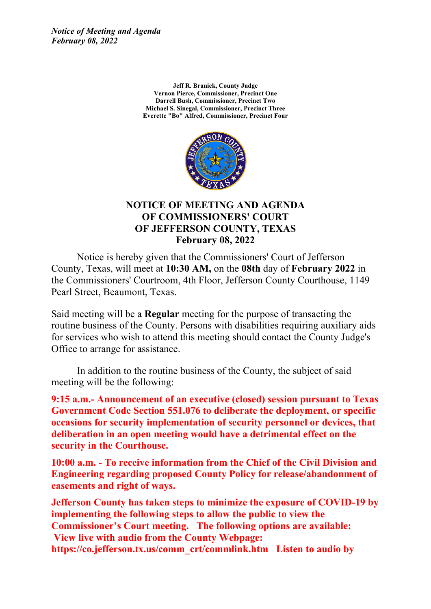*Notice of Meeting and Agenda February 08, 2022*

> **Jeff R. Branick, County Judge Vernon Pierce, Commissioner, Precinct One Darrell Bush, Commissioner, Precinct Two Michael S. Sinegal, Commissioner, Precinct Three Everette "Bo" Alfred, Commissioner, Precinct Four**



### **NOTICE OF MEETING AND AGENDA OF COMMISSIONERS' COURT OF JEFFERSON COUNTY, TEXAS February 08, 2022**

Notice is hereby given that the Commissioners' Court of Jefferson County, Texas, will meet at **10:30 AM,** on the **08th** day of **February 2022** in the Commissioners' Courtroom, 4th Floor, Jefferson County Courthouse, 1149 Pearl Street, Beaumont, Texas.

Said meeting will be <sup>a</sup> **Regular** meeting for the purpose of transacting the routine business of the County. Persons with disabilities requiring auxiliary aids for services who wish to attend this meeting should contact the County Judge's Office to arrange for assistance.

In addition to the routine business of the County, the subject of said meeting will be the following:

**9:15 a.m.- Announcement of an executive (closed) session pursuant to Texas Government Code Section 551.076 to deliberate the deployment, or specific occasions for security implementation of security personnel or devices, that deliberation in an open meeting would have <sup>a</sup> detrimental effect on the security in the Courthouse.**

**10:00 a.m. - To receive information from the Chief of the Civil Division and Engineering regarding proposed County Policy for release/abandonment of easements and right of ways.**

**Jefferson County has taken steps to minimize the exposure of COVID-19 by implementing the following steps to allow the public to view the Commissioner's Court meeting. The following options are available: View live with audio from the County Webpage: https://co.jefferson.tx.us/comm\_crt/commlink.htm Listen to audio by**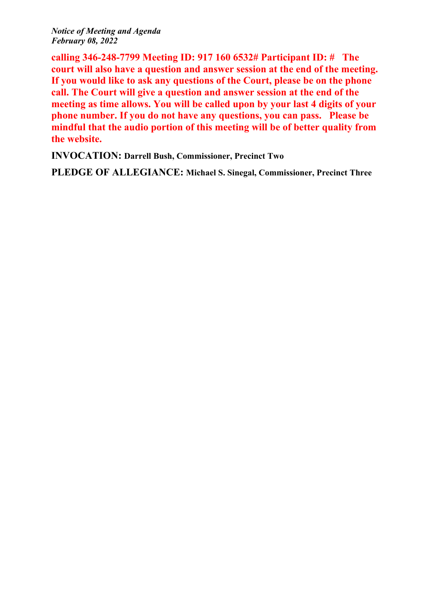*Notice of Meeting and Agenda February 08, 2022*

**calling 346-248-7799 Meeting ID: 917 160 6532# Participant ID: # The court will also have <sup>a</sup> question and answer session at the end of the meeting. If you would like to ask any questions of the Court, please be on the phone call. The Court will give <sup>a</sup> question and answer session at the end of the meeting as time allows. You will be called upon by your last 4 digits of your phone number. If you do not have any questions, you can pass. Please be mindful that the audio portion of this meeting will be of better quality from the website.**

**INVOCATION: Darrell Bush, Commissioner, Precinct Two**

**PLEDGE OF ALLEGIANCE: Michael S. Sinegal, Commissioner, Precinct Three**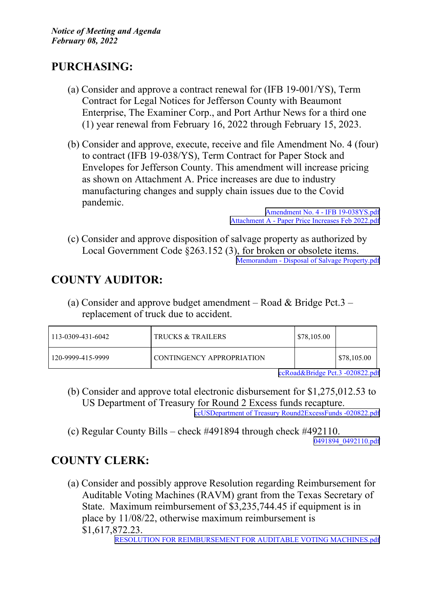# **PURCHASING:**

- (a) Consider and approve <sup>a</sup> contract renewal for (IFB 19-001/YS), Term Contract for Legal Notices for Jefferson County with Beaumont Enterprise, The Examiner Corp., and Port Arthur News for <sup>a</sup> third one (1) year renewal from February 16, 2022 through February 15, 2023.
- (b) Consider and approve, execute, receive and file Amendment No. 4 (four) to contract (IFB 19-038/YS), Term Contract for Paper Stock and Envelopes for Jefferson County. This amendment will increase pricing as shown on Attachment A. Price increases are due to industry manufacturing changes and supply chain issues due to the Covid pandemic.

Amendment No. 4 - IFB [19-038YS.pdf](http://co.jefferson.tx.us/agenda/agendas_pl/20220208_677/Attachments/Amendment No. 4 - IFB 19-038YS.pdf) [Attachment](http://co.jefferson.tx.us/agenda/agendas_pl/20220208_677/Attachments/Attachment A - Paper Price Increases Feb 2022.pdf) A - Paper Price Increases Feb 2022.pdf

(c) Consider and approve disposition of salvage property as authorized by Local Government Code §263.152 (3), for broken or obsolete items. Memorandum - Disposal of Salvage [Property.pdf](http://co.jefferson.tx.us/agenda/agendas_pl/20220208_677/Attachments/Memorandum - Disposal of Salvage Property.pdf)

# **COUNTY AUDITOR:**

(a) Consider and approve budget amendment – Road  $&$  Bridge Pct.3 – replacement of truck due to accident.

| $113 - 0309 - 431 - 6042$ | TRUCKS & TRAILERS         | \$78,105.00 |             |
|---------------------------|---------------------------|-------------|-------------|
| 120-9999-415-9999         | CONTINGENCY APPROPRIATION |             | \$78,105.00 |

[ccRoad&Bridge](http://co.jefferson.tx.us/agenda/agendas_pl/20220208_677/Attachments/ccRoad&Bridge Pct.3 -020822.pdf) Pct.3 -020822.pdf

- (b) Consider and approve total electronic disbursement for \$1,275,012.53 to US Department of Treasury for Round 2 Excess funds recapture. ccUSDepartment of Treasury [Round2ExcessFunds](http://co.jefferson.tx.us/agenda/agendas_pl/20220208_677/Attachments/ccUSDepartment of Treasury Round2ExcessFunds -020822.pdf) -020822.pdf
- (c) Regular County Bills check #491894 through check #492110. [0491894\\_0492110.pdf](http://co.jefferson.tx.us/agenda/agendas_pl/20220208_677/Attachments/0491894_0492110.pdf)

# **COUNTY CLERK:**

(a) Consider and possibly approve Resolution regarding Reimbursement for Auditable Voting Machines (RAVM) gran<sup>t</sup> from the Texas Secretary of State. Maximum reimbursement of \$3,235,744.45 if equipment is in place by 11/08/22, otherwise maximum reimbursement is \$1,617,872.23.

RESOLUTION FOR REIMBURSEMENT FOR AUDITABLE VOTING [MACHINES.pdf](http://co.jefferson.tx.us/agenda/agendas_pl/20220208_677/Attachments/RESOLUTION FOR REIMBURSEMENT FOR AUDITABLE VOTING MACHINES.pdf)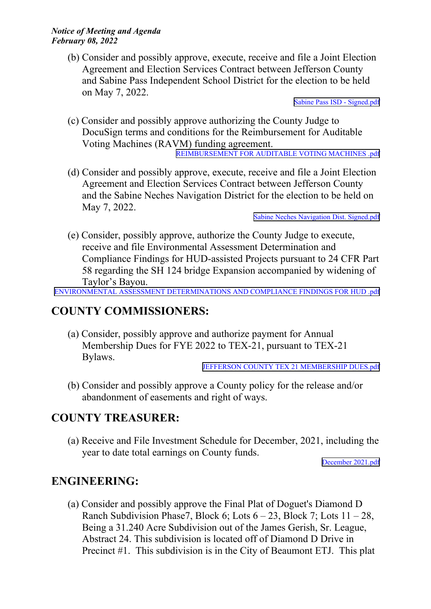(b) Consider and possibly approve, execute, receive and file <sup>a</sup> Joint Election Agreement and Election Services Contract between Jefferson County and Sabine Pass Independent School District for the election to be held on May 7, 2022.

Sabine Pass ISD - [Signed.pdf](http://co.jefferson.tx.us/agenda/agendas_pl/20220208_677/Attachments/Sabine Pass ISD - Signed.pdf)

(c) Consider and possibly approve authorizing the County Judge to DocuSign terms and conditions for the Reimbursement for Auditable Voting Machines (RAVM) funding agreement.

[REIMBURSEMENT](http://co.jefferson.tx.us/agenda/agendas_pl/20220208_677/Attachments/REIMBURSEMENT FOR AUDITABLE VOTING MACHINES .pdf) FOR AUDITABLE VOTING MACHINES .pdf

(d) Consider and possibly approve, execute, receive and file <sup>a</sup> Joint Election Agreement and Election Services Contract between Jefferson County and the Sabine Neches Navigation District for the election to be held on May 7, 2022.

Sabine Neches [Navigation](http://co.jefferson.tx.us/agenda/agendas_pl/20220208_677/Attachments/Sabine Neches Navigation Dist. Signed.pdf) Dist. Signed.pdf

(e) Consider, possibly approve, authorize the County Judge to execute, receive and file Environmental Assessment Determination and Compliance Findings for HUD-assisted Projects pursuan<sup>t</sup> to 24 CFR Part 58 regarding the SH 124 bridge Expansion accompanied by widening of Taylor's Bayou.

ENVIRONMENTAL ASSESSMENT [DETERMINATIONS](http://co.jefferson.tx.us/agenda/agendas_pl/20220208_677/Attachments/ENVIRONMENTAL ASSESSMENT DETERMINATIONS AND COMPLIANCE FINDINGS FOR HUD .pdf) AND COMPLIANCE FINDINGS FOR HUD .pdf

## **COUNTY COMMISSIONERS:**

(a) Consider, possibly approve and authorize paymen<sup>t</sup> for Annual Membership Dues for FYE 2022 to TEX-21, pursuan<sup>t</sup> to TEX-21 Bylaws.

#### JEFFERSON COUNTY TEX 21 [MEMBERSHIP](http://co.jefferson.tx.us/agenda/agendas_pl/20220208_677/Attachments/JEFFERSON COUNTY TEX 21 MEMBERSHIP DUES.pdf) DUES.pdf

(b) Consider and possibly approve <sup>a</sup> County policy for the release and/or abandonment of easements and right of ways.

### **COUNTY TREASURER:**

(a) Receive and File Investment Schedule for December, 2021, including the year to date total earnings on County funds.

December [2021.pdf](http://co.jefferson.tx.us/agenda/agendas_pl/20220208_677/Attachments/December 2021.pdf)

## **ENGINEERING:**

(a) Consider and possibly approve the Final Plat of Doguet's Diamond D Ranch Subdivision Phase7, Block 6; Lots  $6 - 23$ , Block 7; Lots  $11 - 28$ , Being <sup>a</sup> 31.240 Acre Subdivision out of the James Gerish, Sr. League, Abstract 24. This subdivision is located off of Diamond D Drive in Precinct #1. This subdivision is in the City of Beaumont ETJ. This plat